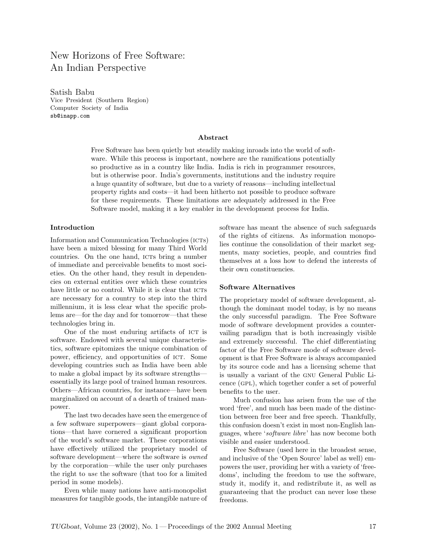# New Horizons of Free Software: An Indian Perspective

Satish Babu Vice President (Southern Region) Computer Society of India sb@inapp.com

### Abstract

Free Software has been quietly but steadily making inroads into the world of software. While this process is important, nowhere are the ramifications potentially so productive as in a country like India. India is rich in programmer resources, but is otherwise poor. India's governments, institutions and the industry require a huge quantity of software, but due to a variety of reasons—including intellectual property rights and costs—it had been hitherto not possible to produce software for these requirements. These limitations are adequately addressed in the Free Software model, making it a key enabler in the development process for India.

#### Introduction

Information and Communication Technologies (ICTs) have been a mixed blessing for many Third World countries. On the one hand, icts bring a number of immediate and perceivable benefits to most societies. On the other hand, they result in dependencies on external entities over which these countries have little or no control. While it is clear that ICTs are necessary for a country to step into the third millennium, it is less clear what the specific problems are—for the day and for tomorrow—that these technologies bring in.

One of the most enduring artifacts of ICT is software. Endowed with several unique characteristics, software epitomizes the unique combination of power, efficiency, and opportunities of ICT. Some developing countries such as India have been able to make a global impact by its software strengths essentially its large pool of trained human resources. Others—African countries, for instance—have been marginalized on account of a dearth of trained manpower.

The last two decades have seen the emergence of a few software superpowers—giant global corporations—that have cornered a significant proportion of the world's software market. These corporations have effectively utilized the proprietary model of software development—where the software is owned by the corporation—while the user only purchases the right to use the software (that too for a limited period in some models).

Even while many nations have anti-monopolist measures for tangible goods, the intangible nature of software has meant the absence of such safeguards of the rights of citizens. As information monopolies continue the consolidation of their market segments, many societies, people, and countries find themselves at a loss how to defend the interests of their own constituencies.

#### Software Alternatives

The proprietary model of software development, although the dominant model today, is by no means the only successful paradigm. The Free Software mode of software development provides a countervailing paradigm that is both increasingly visible and extremely successful. The chief differentiating factor of the Free Software mode of software development is that Free Software is always accompanied by its source code and has a licensing scheme that is usually a variant of the gnu General Public Licence (gpl), which together confer a set of powerful benefits to the user.

Much confusion has arisen from the use of the word 'free', and much has been made of the distinction between free beer and free speech. Thankfully, this confusion doesn't exist in most non-English languages, where 'software libre' has now become both visible and easier understood.

Free Software (used here in the broadest sense, and inclusive of the 'Open Source' label as well) empowers the user, providing her with a variety of 'freedoms', including the freedom to use the software, study it, modify it, and redistribute it, as well as guaranteeing that the product can never lose these freedoms.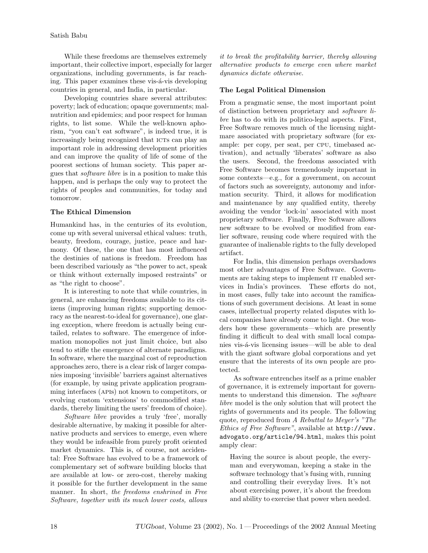While these freedoms are themselves extremely important, their collective import, especially for larger organizations, including governments, is far reaching. This paper examines these vis- $\acute{a}$ -vis developing countries in general, and India, in particular.

Developing countries share several attributes: poverty; lack of education; opaque governments; malnutrition and epidemics; and poor respect for human rights, to list some. While the well-known aphorism, "you can't eat software", is indeed true, it is increasingly being recognized that ICTs can play an important role in addressing development priorities and can improve the quality of life of some of the poorest sections of human society. This paper argues that software libre is in a position to make this happen, and is perhaps the only way to protect the rights of peoples and communities, for today and tomorrow.

## The Ethical Dimension

Humankind has, in the centuries of its evolution, come up with several universal ethical values: truth, beauty, freedom, courage, justice, peace and harmony. Of these, the one that has most influenced the destinies of nations is freedom. Freedom has been described variously as "the power to act, speak or think without externally imposed restraints" or as "the right to choose".

It is interesting to note that while countries, in general, are enhancing freedoms available to its citizens (improving human rights; supporting democracy as the nearest-to-ideal for governance), one glaring exception, where freedom is actually being curtailed, relates to software. The emergence of information monopolies not just limit choice, but also tend to stifle the emergence of alternate paradigms. In software, where the marginal cost of reproduction approaches zero, there is a clear risk of larger companies imposing 'invisible' barriers against alternatives (for example, by using private application programming interfaces (apis) not known to competitors, or evolving custom 'extensions' to commodified standards, thereby limiting the users' freedom of choice).

Software libre provides a truly 'free', morally desirable alternative, by making it possible for alternative products and services to emerge, even where they would be infeasible from purely profit oriented market dynamics. This is, of course, not accidental: Free Software has evolved to be a framework of complementary set of software building blocks that are available at low- or zero-cost, thereby making it possible for the further development in the same manner. In short, the freedoms enshrined in Free Software, together with its much lower costs, allows it to break the profitability barrier, thereby allowing alternative products to emerge even where market dynamics dictate otherwise.

# The Legal Political Dimension

From a pragmatic sense, the most important point of distinction between proprietary and software libre has to do with its politico-legal aspects. First, Free Software removes much of the licensing nightmare associated with proprietary software (for example: per copy, per seat, per cpu, timebased activation), and actually 'liberates' software as also the users. Second, the freedoms associated with Free Software becomes tremendously important in some contexts—e.g., for a government, on account of factors such as sovereignty, autonomy and information security. Third, it allows for modification and maintenance by any qualified entity, thereby avoiding the vendor 'lock-in' associated with most proprietary software. Finally, Free Software allows new software to be evolved or modified from earlier software, reusing code where required with the guarantee of inalienable rights to the fully developed artifact.

For India, this dimension perhaps overshadows most other advantages of Free Software. Governments are taking steps to implement IT enabled services in India's provinces. These efforts do not, in most cases, fully take into account the ramifications of such government decisions. At least in some cases, intellectual property related disputes with local companies have already come to light. One wonders how these governments—which are presently finding it difficult to deal with small local companies vis-á-vis licensing issues—will be able to deal with the giant software global corporations and yet ensure that the interests of its own people are protected.

As software entrenches itself as a prime enabler of governance, it is extremely important for governments to understand this dimension. The *software* libre model is the only solution that will protect the rights of governments and its people. The following quote, reproduced from A Rebuttal to Meyer's "The Ethics of Free Software", available at http://www. advogato.org/article/94.html, makes this point amply clear:

Having the source is about people, the everyman and everywoman, keeping a stake in the software technology that's fusing with, running and controlling their everyday lives. It's not about exercising power, it's about the freedom and ability to exercise that power when needed.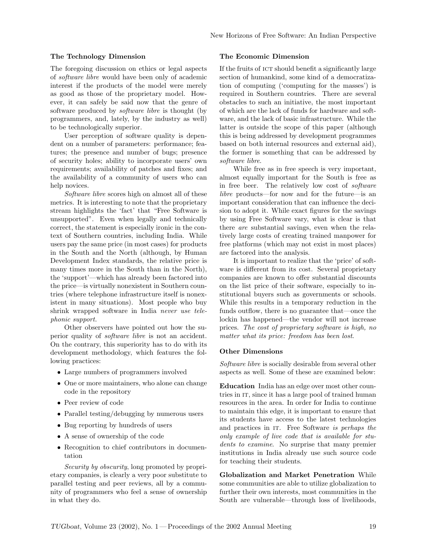## The Technology Dimension

The foregoing discussion on ethics or legal aspects of software libre would have been only of academic interest if the products of the model were merely as good as those of the proprietary model. However, it can safely be said now that the genre of software produced by software libre is thought (by programmers, and, lately, by the industry as well) to be technologically superior.

User perception of software quality is dependent on a number of parameters: performance; features; the presence and number of bugs; presence of security holes; ability to incorporate users' own requirements; availability of patches and fixes; and the availability of a community of users who can help novices.

Software libre scores high on almost all of these metrics. It is interesting to note that the proprietary stream highlights the 'fact' that "Free Software is unsupported". Even when legally and technically correct, the statement is especially ironic in the context of Southern countries, including India. While users pay the same price (in most cases) for products in the South and the North (although, by Human Development Index standards, the relative price is many times more in the South than in the North), the 'support'—which has already been factored into the price—is virtually nonexistent in Southern countries (where telephone infrastructure itself is nonexistent in many situations). Most people who buy shrink wrapped software in India never use telephonic support.

Other observers have pointed out how the superior quality of software libre is not an accident. On the contrary, this superiority has to do with its development methodology, which features the following practices:

- Large numbers of programmers involved
- One or more maintainers, who alone can change code in the repository
- Peer review of code
- Parallel testing/debugging by numerous users
- Bug reporting by hundreds of users
- A sense of ownership of the code
- Recognition to chief contributors in documentation

Security by obscurity, long promoted by proprietary companies, is clearly a very poor substitute to parallel testing and peer reviews, all by a community of programmers who feel a sense of ownership in what they do.

### The Economic Dimension

If the fruits of ICT should benefit a significantly large section of humankind, some kind of a democratization of computing ('computing for the masses') is required in Southern countries. There are several obstacles to such an initiative, the most important of which are the lack of funds for hardware and software, and the lack of basic infrastructure. While the latter is outside the scope of this paper (although this is being addressed by development programmes based on both internal resources and external aid), the former is something that can be addressed by software libre.

While free as in free speech is very important, almost equally important for the South is free as in free beer. The relatively low cost of software libre products—for now and for the future—is an important consideration that can influence the decision to adopt it. While exact figures for the savings by using Free Software vary, what is clear is that there are substantial savings, even when the relatively large costs of creating trained manpower for free platforms (which may not exist in most places) are factored into the analysis.

It is important to realize that the 'price' of software is different from its cost. Several proprietary companies are known to offer substantial discounts on the list price of their software, especially to institutional buyers such as governments or schools. While this results in a temporary reduction in the funds outflow, there is no guarantee that—once the lockin has happened—the vendor will not increase prices. The cost of proprietary software is high, no matter what its price: freedom has been lost.

#### Other Dimensions

Software libre is socially desirable from several other aspects as well. Some of these are examined below:

Education India has an edge over most other countries in IT, since it has a large pool of trained human resources in the area. In order for India to continue to maintain this edge, it is important to ensure that its students have access to the latest technologies and practices in IT. Free Software is perhaps the only example of live code that is available for students to examine. No surprise that many premier institutions in India already use such source code for teaching their students.

Globalization and Market Penetration While some communities are able to utilize globalization to further their own interests, most communities in the South are vulnerable—through loss of livelihoods,